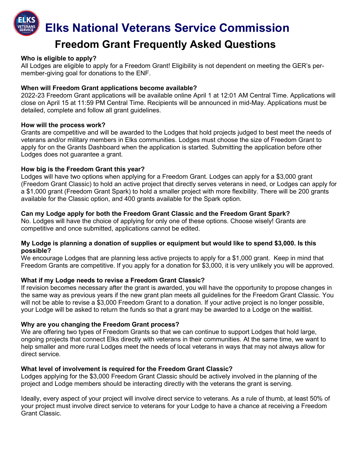**Elks National Veterans Service Commission**

# **Freedom Grant Frequently Asked Questions**

#### **Who is eligible to apply?**

All Lodges are eligible to apply for a Freedom Grant! Eligibility is not dependent on meeting the GER's permember-giving goal for donations to the ENF.

#### **When will Freedom Grant applications become available?**

2022-23 Freedom Grant applications will be available online April 1 at 12:01 AM Central Time. Applications will close on April 15 at 11:59 PM Central Time. Recipients will be announced in mid-May. Applications must be detailed, complete and follow all grant guidelines.

#### **How will the process work?**

Grants are competitive and will be awarded to the Lodges that hold projects judged to best meet the needs of veterans and/or military members in Elks communities. Lodges must choose the size of Freedom Grant to apply for on the Grants Dashboard when the application is started. Submitting the application before other Lodges does not guarantee a grant.

## **How big is the Freedom Grant this year?**

Lodges will have two options when applying for a Freedom Grant. Lodges can apply for a \$3,000 grant (Freedom Grant Classic) to hold an active project that directly serves veterans in need, or Lodges can apply for a \$1,000 grant (Freedom Grant Spark) to hold a smaller project with more flexibility. There will be 200 grants available for the Classic option, and 400 grants available for the Spark option.

## **Can my Lodge apply for both the Freedom Grant Classic and the Freedom Grant Spark?**

No. Lodges will have the choice of applying for only one of these options. Choose wisely! Grants are competitive and once submitted, applications cannot be edited.

#### **My Lodge is planning a donation of supplies or equipment but would like to spend \$3,000. Is this possible?**

We encourage Lodges that are planning less active projects to apply for a \$1,000 grant. Keep in mind that Freedom Grants are competitive. If you apply for a donation for \$3,000, it is very unlikely you will be approved.

## **What if my Lodge needs to revise a Freedom Grant Classic?**

If revision becomes necessary after the grant is awarded, you will have the opportunity to propose changes in the same way as previous years if the new grant plan meets all guidelines for the Freedom Grant Classic. You will not be able to revise a \$3,000 Freedom Grant to a donation. If your active project is no longer possible, your Lodge will be asked to return the funds so that a grant may be awarded to a Lodge on the waitlist.

#### **Why are you changing the Freedom Grant process?**

We are offering two types of Freedom Grants so that we can continue to support Lodges that hold large, ongoing projects that connect Elks directly with veterans in their communities. At the same time, we want to help smaller and more rural Lodges meet the needs of local veterans in ways that may not always allow for direct service.

## **What level of involvement is required for the Freedom Grant Classic?**

Lodges applying for the \$3,000 Freedom Grant Classic should be actively involved in the planning of the project and Lodge members should be interacting directly with the veterans the grant is serving.

Ideally, every aspect of your project will involve direct service to veterans. As a rule of thumb, at least 50% of your project must involve direct service to veterans for your Lodge to have a chance at receiving a Freedom Grant Classic.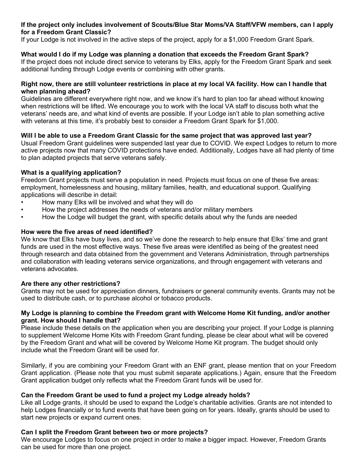## **If the project only includes involvement of Scouts/Blue Star Moms/VA Staff/VFW members, can I apply for a Freedom Grant Classic?**

If your Lodge is not involved in the active steps of the project, apply for a \$1,000 Freedom Grant Spark.

# **What would I do if my Lodge was planning a donation that exceeds the Freedom Grant Spark?**

If the project does not include direct service to veterans by Elks, apply for the Freedom Grant Spark and seek additional funding through Lodge events or combining with other grants.

### **Right now, there are still volunteer restrictions in place at my local VA facility. How can I handle that when planning ahead?**

Guidelines are different everywhere right now, and we know it's hard to plan too far ahead without knowing when restrictions will be lifted. We encourage you to work with the local VA staff to discuss both what the veterans' needs are, and what kind of events are possible. If your Lodge isn't able to plan something active with veterans at this time, it's probably best to consider a Freedom Grant Spark for \$1,000.

## **Will I be able to use a Freedom Grant Classic for the same project that was approved last year?**

Usual Freedom Grant guidelines were suspended last year due to COVID. We expect Lodges to return to more active projects now that many COVID protections have ended. Additionally, Lodges have all had plenty of time to plan adapted projects that serve veterans safely.

## **What is a qualifying application?**

Freedom Grant projects must serve a population in need. Projects must focus on one of these five areas: employment, homelessness and housing, military families, health, and educational support. Qualifying applications will describe in detail:

- How many Elks will be involved and what they will do
- How the project addresses the needs of veterans and/or military members
- How the Lodge will budget the grant, with specific details about why the funds are needed

# **How were the five areas of need identified?**

We know that Elks have busy lives, and so we've done the research to help ensure that Elks' time and grant funds are used in the most effective ways. These five areas were identified as being of the greatest need through research and data obtained from the government and Veterans Administration, through partnerships and collaboration with leading veterans service organizations, and through engagement with veterans and veterans advocates.

## **Are there any other restrictions?**

Grants may not be used for appreciation dinners, fundraisers or general community events. Grants may not be used to distribute cash, or to purchase alcohol or tobacco products.

## **My Lodge is planning to combine the Freedom grant with Welcome Home Kit funding, and/or another grant. How should I handle that?**

Please include these details on the application when you are describing your project. If your Lodge is planning to supplement Welcome Home Kits with Freedom Grant funding, please be clear about what will be covered by the Freedom Grant and what will be covered by Welcome Home Kit program. The budget should only include what the Freedom Grant will be used for.

Similarly, if you are combining your Freedom Grant with an ENF grant, please mention that on your Freedom Grant application. (Please note that you must submit separate applications.) Again, ensure that the Freedom Grant application budget only reflects what the Freedom Grant funds will be used for.

## **Can the Freedom Grant be used to fund a project my Lodge already holds?**

Like all Lodge grants, it should be used to expand the Lodge's charitable activities. Grants are not intended to help Lodges financially or to fund events that have been going on for years. Ideally, grants should be used to start new projects or expand current ones.

## **Can I split the Freedom Grant between two or more projects?**

We encourage Lodges to focus on one project in order to make a bigger impact. However, Freedom Grants can be used for more than one project.